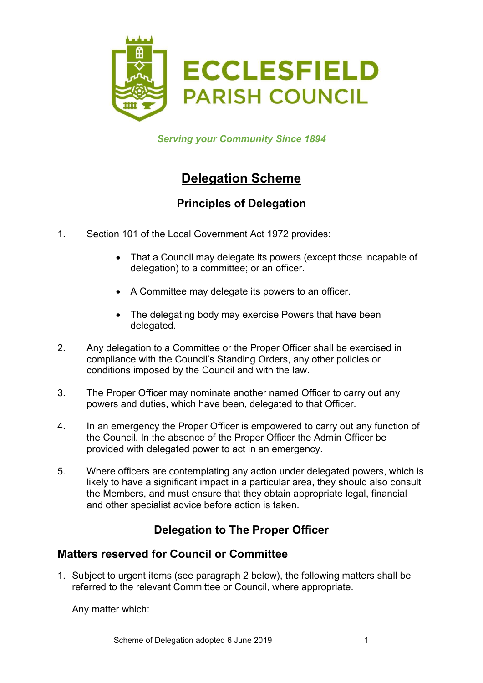

Serving your Community Since 1894

# Delegation Scheme

# Principles of Delegation

- 1. Section 101 of the Local Government Act 1972 provides:
	- That a Council may delegate its powers (except those incapable of delegation) to a committee; or an officer.
	- A Committee may delegate its powers to an officer.
	- The delegating body may exercise Powers that have been delegated.
- 2. Any delegation to a Committee or the Proper Officer shall be exercised in compliance with the Council's Standing Orders, any other policies or conditions imposed by the Council and with the law.
- 3. The Proper Officer may nominate another named Officer to carry out any powers and duties, which have been, delegated to that Officer.
- 4. In an emergency the Proper Officer is empowered to carry out any function of the Council. In the absence of the Proper Officer the Admin Officer be provided with delegated power to act in an emergency.
- 5. Where officers are contemplating any action under delegated powers, which is likely to have a significant impact in a particular area, they should also consult the Members, and must ensure that they obtain appropriate legal, financial and other specialist advice before action is taken.

# Delegation to The Proper Officer

## Matters reserved for Council or Committee

1. Subject to urgent items (see paragraph 2 below), the following matters shall be referred to the relevant Committee or Council, where appropriate.

Any matter which: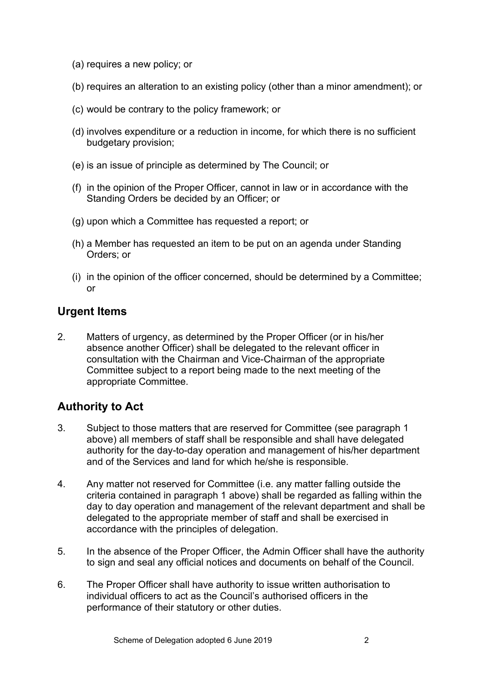- (a) requires a new policy; or
- (b) requires an alteration to an existing policy (other than a minor amendment); or
- (c) would be contrary to the policy framework; or
- (d) involves expenditure or a reduction in income, for which there is no sufficient budgetary provision;
- (e) is an issue of principle as determined by The Council; or
- (f) in the opinion of the Proper Officer, cannot in law or in accordance with the Standing Orders be decided by an Officer; or
- (g) upon which a Committee has requested a report; or
- (h) a Member has requested an item to be put on an agenda under Standing Orders; or
- (i) in the opinion of the officer concerned, should be determined by a Committee; or

#### Urgent Items

2. Matters of urgency, as determined by the Proper Officer (or in his/her absence another Officer) shall be delegated to the relevant officer in consultation with the Chairman and Vice-Chairman of the appropriate Committee subject to a report being made to the next meeting of the appropriate Committee.

### Authority to Act

- 3. Subject to those matters that are reserved for Committee (see paragraph 1 above) all members of staff shall be responsible and shall have delegated authority for the day-to-day operation and management of his/her department and of the Services and land for which he/she is responsible.
- 4. Any matter not reserved for Committee (i.e. any matter falling outside the criteria contained in paragraph 1 above) shall be regarded as falling within the day to day operation and management of the relevant department and shall be delegated to the appropriate member of staff and shall be exercised in accordance with the principles of delegation.
- 5. In the absence of the Proper Officer, the Admin Officer shall have the authority to sign and seal any official notices and documents on behalf of the Council.
- 6. The Proper Officer shall have authority to issue written authorisation to individual officers to act as the Council's authorised officers in the performance of their statutory or other duties.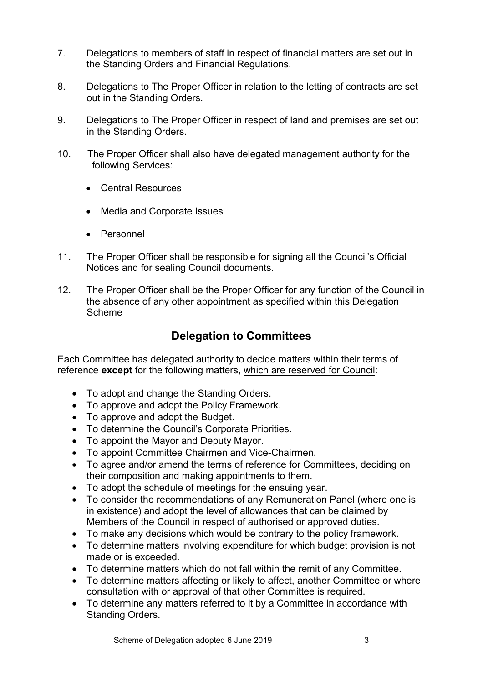- 7. Delegations to members of staff in respect of financial matters are set out in the Standing Orders and Financial Regulations.
- 8. Delegations to The Proper Officer in relation to the letting of contracts are set out in the Standing Orders.
- 9. Delegations to The Proper Officer in respect of land and premises are set out in the Standing Orders.
- 10. The Proper Officer shall also have delegated management authority for the following Services:
	- Central Resources
	- Media and Corporate Issues
	- Personnel
- 11. The Proper Officer shall be responsible for signing all the Council's Official Notices and for sealing Council documents.
- 12. The Proper Officer shall be the Proper Officer for any function of the Council in the absence of any other appointment as specified within this Delegation Scheme

#### Delegation to Committees

Each Committee has delegated authority to decide matters within their terms of reference **except** for the following matters, which are reserved for Council:

- To adopt and change the Standing Orders.
- To approve and adopt the Policy Framework.
- To approve and adopt the Budget.
- To determine the Council's Corporate Priorities.
- To appoint the Mayor and Deputy Mayor.
- To appoint Committee Chairmen and Vice-Chairmen.
- To agree and/or amend the terms of reference for Committees, deciding on their composition and making appointments to them.
- To adopt the schedule of meetings for the ensuing year.
- To consider the recommendations of any Remuneration Panel (where one is in existence) and adopt the level of allowances that can be claimed by Members of the Council in respect of authorised or approved duties.
- To make any decisions which would be contrary to the policy framework.
- To determine matters involving expenditure for which budget provision is not made or is exceeded.
- To determine matters which do not fall within the remit of any Committee.
- To determine matters affecting or likely to affect, another Committee or where consultation with or approval of that other Committee is required.
- To determine any matters referred to it by a Committee in accordance with Standing Orders.